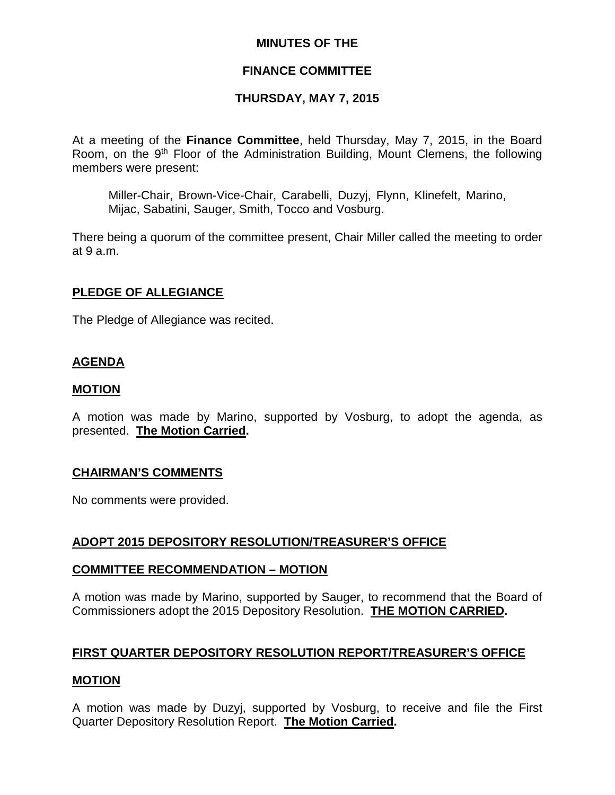## **MINUTES OF THE**

# **FINANCE COMMITTEE**

# **THURSDAY, MAY 7, 2015**

At a meeting of the **Finance Committee**, held Thursday, May 7, 2015, in the Board Room, on the 9<sup>th</sup> Floor of the Administration Building, Mount Clemens, the following members were present:

Miller-Chair, Brown-Vice-Chair, Carabelli, Duzyj, Flynn, Klinefelt, Marino, Mijac, Sabatini, Sauger, Smith, Tocco and Vosburg.

There being a quorum of the committee present, Chair Miller called the meeting to order at 9 a.m.

## **PLEDGE OF ALLEGIANCE**

The Pledge of Allegiance was recited.

# **AGENDA**

## **MOTION**

A motion was made by Marino, supported by Vosburg, to adopt the agenda, as presented. **The Motion Carried.**

#### **CHAIRMAN'S COMMENTS**

No comments were provided.

# **ADOPT 2015 DEPOSITORY RESOLUTION/TREASURER'S OFFICE**

#### **COMMITTEE RECOMMENDATION – MOTION**

A motion was made by Marino, supported by Sauger, to recommend that the Board of Commissioners adopt the 2015 Depository Resolution. **THE MOTION CARRIED.**

# **FIRST QUARTER DEPOSITORY RESOLUTION REPORT/TREASURER'S OFFICE**

#### **MOTION**

A motion was made by Duzyj, supported by Vosburg, to receive and file the First Quarter Depository Resolution Report. **The Motion Carried.**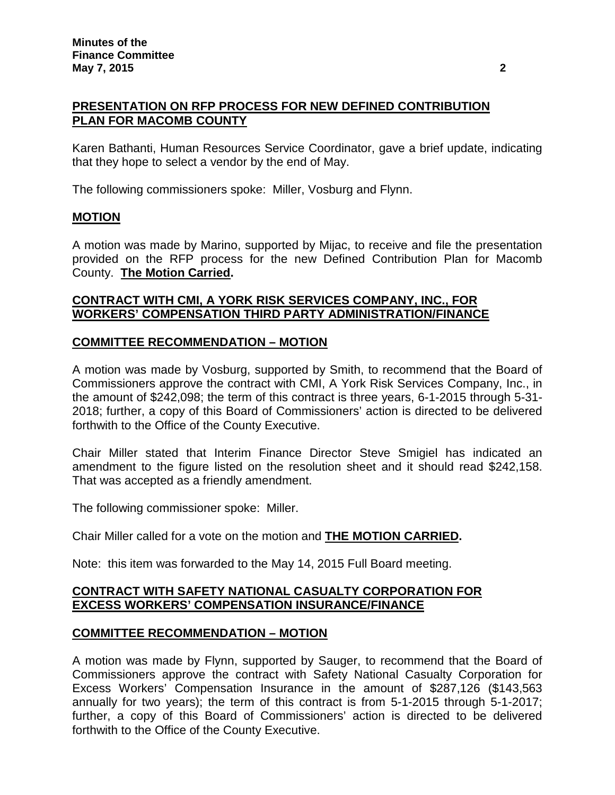# **PRESENTATION ON RFP PROCESS FOR NEW DEFINED CONTRIBUTION PLAN FOR MACOMB COUNTY**

Karen Bathanti, Human Resources Service Coordinator, gave a brief update, indicating that they hope to select a vendor by the end of May.

The following commissioners spoke: Miller, Vosburg and Flynn.

## **MOTION**

A motion was made by Marino, supported by Mijac, to receive and file the presentation provided on the RFP process for the new Defined Contribution Plan for Macomb County. **The Motion Carried.**

## **CONTRACT WITH CMI, A YORK RISK SERVICES COMPANY, INC., FOR WORKERS' COMPENSATION THIRD PARTY ADMINISTRATION/FINANCE**

## **COMMITTEE RECOMMENDATION – MOTION**

A motion was made by Vosburg, supported by Smith, to recommend that the Board of Commissioners approve the contract with CMI, A York Risk Services Company, Inc., in the amount of \$242,098; the term of this contract is three years, 6-1-2015 through 5-31- 2018; further, a copy of this Board of Commissioners' action is directed to be delivered forthwith to the Office of the County Executive.

Chair Miller stated that Interim Finance Director Steve Smigiel has indicated an amendment to the figure listed on the resolution sheet and it should read \$242,158. That was accepted as a friendly amendment.

The following commissioner spoke: Miller.

Chair Miller called for a vote on the motion and **THE MOTION CARRIED.**

Note: this item was forwarded to the May 14, 2015 Full Board meeting.

## **CONTRACT WITH SAFETY NATIONAL CASUALTY CORPORATION FOR EXCESS WORKERS' COMPENSATION INSURANCE/FINANCE**

#### **COMMITTEE RECOMMENDATION – MOTION**

A motion was made by Flynn, supported by Sauger, to recommend that the Board of Commissioners approve the contract with Safety National Casualty Corporation for Excess Workers' Compensation Insurance in the amount of \$287,126 (\$143,563 annually for two years); the term of this contract is from 5-1-2015 through 5-1-2017; further, a copy of this Board of Commissioners' action is directed to be delivered forthwith to the Office of the County Executive.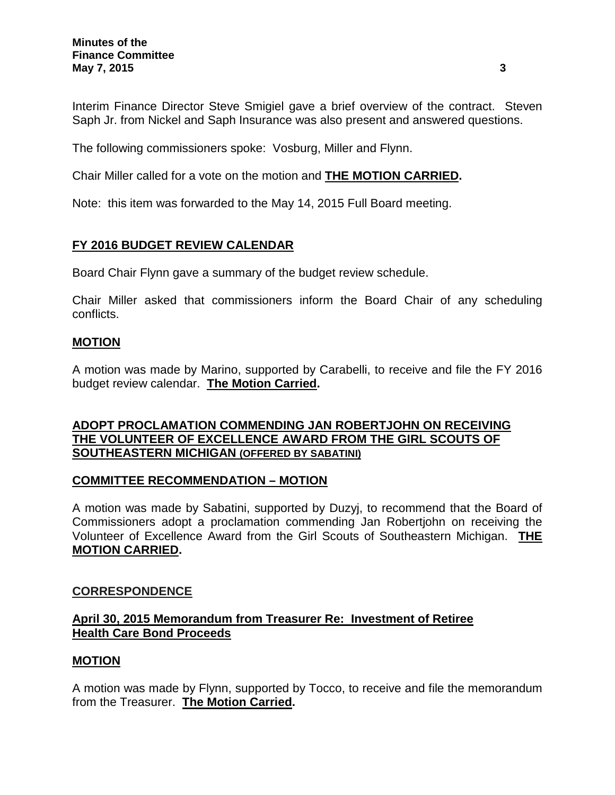Interim Finance Director Steve Smigiel gave a brief overview of the contract. Steven Saph Jr. from Nickel and Saph Insurance was also present and answered questions.

The following commissioners spoke: Vosburg, Miller and Flynn.

Chair Miller called for a vote on the motion and **THE MOTION CARRIED.**

Note: this item was forwarded to the May 14, 2015 Full Board meeting.

# **FY 2016 BUDGET REVIEW CALENDAR**

Board Chair Flynn gave a summary of the budget review schedule.

Chair Miller asked that commissioners inform the Board Chair of any scheduling conflicts.

# **MOTION**

A motion was made by Marino, supported by Carabelli, to receive and file the FY 2016 budget review calendar. **The Motion Carried.**

# **ADOPT PROCLAMATION COMMENDING JAN ROBERTJOHN ON RECEIVING THE VOLUNTEER OF EXCELLENCE AWARD FROM THE GIRL SCOUTS OF SOUTHEASTERN MICHIGAN (OFFERED BY SABATINI)**

# **COMMITTEE RECOMMENDATION – MOTION**

A motion was made by Sabatini, supported by Duzyj, to recommend that the Board of Commissioners adopt a proclamation commending Jan Robertjohn on receiving the Volunteer of Excellence Award from the Girl Scouts of Southeastern Michigan. **THE MOTION CARRIED.**

# **CORRESPONDENCE**

# **April 30, 2015 Memorandum from Treasurer Re: Investment of Retiree Health Care Bond Proceeds**

# **MOTION**

A motion was made by Flynn, supported by Tocco, to receive and file the memorandum from the Treasurer. **The Motion Carried.**